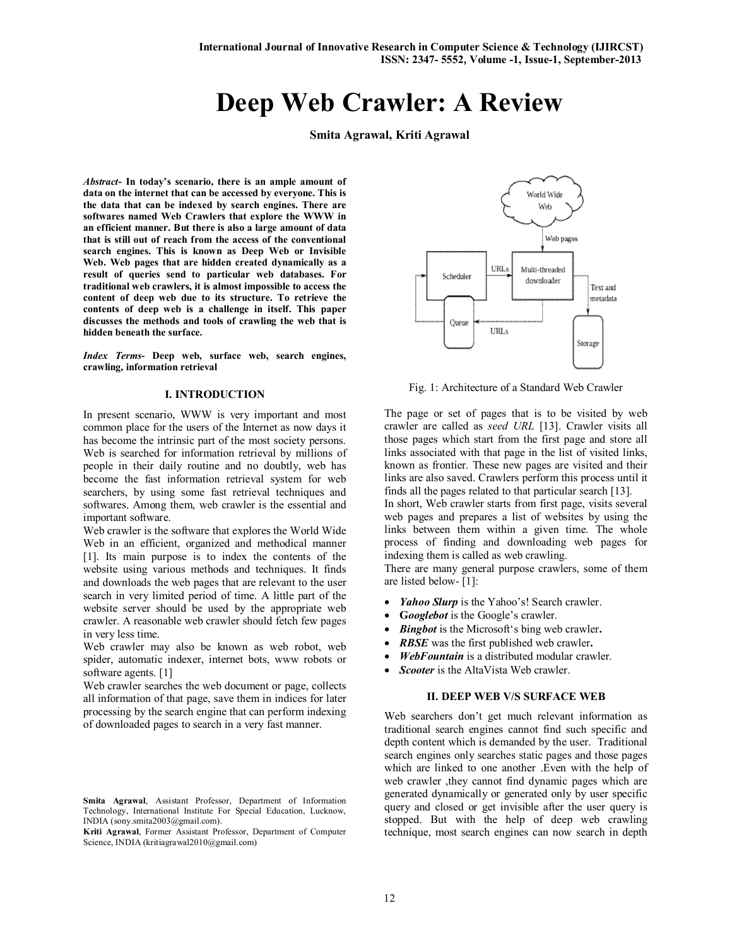# **Deep Web Crawler: A Review**

**Smita Agrawal, Kriti Agrawal**

*Abstract***- In today's scenario, there is an ample amount of data on the internet that can be accessed by everyone. This is the data that can be indexed by search engines. There are softwares named Web Crawlers that explore the WWW in an efficient manner. But there is also a large amount of data that is still out of reach from the access of the conventional search engines. This is known as Deep Web or Invisible Web. Web pages that are hidden created dynamically as a result of queries send to particular web databases. For traditional web crawlers, it is almost impossible to access the content of deep web due to its structure. To retrieve the contents of deep web is a challenge in itself. This paper discusses the methods and tools of crawling the web that is hidden beneath the surface.**

*Index Terms***- Deep web, surface web, search engines, crawling, information retrieval**

### **I. INTRODUCTION**

In present scenario, WWW is very important and most common place for the users of the Internet as now days it has become the intrinsic part of the most society persons. Web is searched for information retrieval by millions of people in their daily routine and no doubtly, web has become the fast information retrieval system for web searchers, by using some fast retrieval techniques and softwares. Among them, web crawler is the essential and important software.

Web crawler is the software that explores the World Wide Web in an efficient, organized and methodical manner [1]. Its main purpose is to index the contents of the website using various methods and techniques. It finds and downloads the web pages that are relevant to the user search in very limited period of time. A little part of the website server should be used by the appropriate web crawler. A reasonable web crawler should fetch few pages in very less time.

Web crawler may also be known as web robot, web spider, automatic indexer, internet bots, www robots or software agents. [1]

Web crawler searches the web document or page, collects all information of that page, save them in indices for later processing by the search engine that can perform indexing of downloaded pages to search in a very fast manner.

**Kriti Agrawal**, Former Assistant Professor, Department of Computer Science, INDIA (kritiagrawal2010@gmail.com)



Fig. 1: Architecture of a Standard Web Crawler

The page or set of pages that is to be visited by web crawler are called as *seed URL* [13]. Crawler visits all those pages which start from the first page and store all links associated with that page in the list of visited links, known as frontier. These new pages are visited and their links are also saved. Crawlers perform this process until it finds all the pages related to that particular search [13].

In short, Web crawler starts from first page, visits several web pages and prepares a list of websites by using the links between them within a given time. The whole process of finding and downloading web pages for indexing them is called as web crawling.

There are many general purpose crawlers, some of them are listed below- [1]:

- *Yahoo Slurp* is the Yahoo's! Search crawler.
- **G***ooglebot* is the Google's crawler.
- *Bingbot* is the Microsoft's bing web crawler**.**
- *RBSE* was the first published web crawler**.**
- *WebFountain* is a distributed modular crawler.
- *Scooter* is the AltaVista Web crawler.

#### **II. DEEP WEB V/S SURFACE WEB**

Web searchers don't get much relevant information as traditional search engines cannot find such specific and depth content which is demanded by the user. Traditional search engines only searches static pages and those pages which are linked to one another .Even with the help of web crawler ,they cannot find dynamic pages which are generated dynamically or generated only by user specific query and closed or get invisible after the user query is stopped. But with the help of deep web crawling technique, most search engines can now search in depth

**Smita Agrawal**, Assistant Professor, Department of Information Technology, International Institute For Special Education, Lucknow, INDIA (sony.smita2003@gmail.com).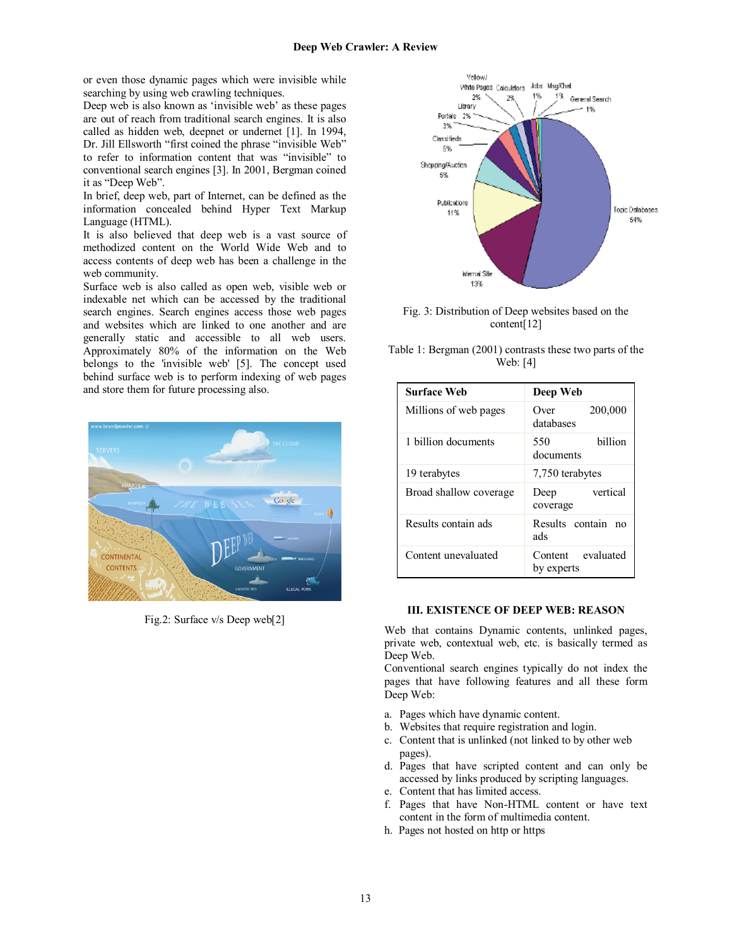or even those dynamic pages which were invisible while searching by using web crawling techniques.

Deep web is also known as 'invisible web' as these pages are out of reach from traditional search engines. It is also called as hidden web, deepnet or undernet [1]. In 1994, Dr. Jill Ellsworth "first coined the phrase "invisible Web" to refer to information content that was "invisible" to conventional search engines [3]. In 2001, Bergman coined it as "Deep Web".

In brief, deep web, part of Internet, can be defined as the information concealed behind Hyper Text Markup Language (HTML).

It is also believed that deep web is a vast source of methodized content on the World Wide Web and to access contents of deep web has been a challenge in the web community.

Surface web is also called as open web, visible web or indexable net which can be accessed by the traditional search engines. Search engines access those web pages and websites which are linked to one another and are generally static and accessible to all web users. Approximately 80% of the information on the Web belongs to the 'invisible web' [5]. The concept used behind surface web is to perform indexing of web pages and store them for future processing also.



Fig.2: Surface v/s Deep web[2]



Fig. 3: Distribution of Deep websites based on the content[12]

| Table 1: Bergman (2001) contrasts these two parts of the |  |
|----------------------------------------------------------|--|
| Web: [4]                                                 |  |

| <b>Surface Web</b>     | Deep Web                                |
|------------------------|-----------------------------------------|
| Millions of web pages  | 200,000<br>Over<br>databases            |
| 1 billion documents    | hillion<br>550<br>documents             |
| 19 terabytes           | 7,750 terabytes                         |
| Broad shallow coverage | vertical<br>Deep<br>coverage            |
| Results contain ads    | Results contain<br>$\mathsf{no}$<br>ads |
| Content unevaluated    | Content evaluated<br>by experts         |

## **III. EXISTENCE OF DEEP WEB: REASON**

Web that contains Dynamic contents, unlinked pages, private web, contextual web, etc. is basically termed as Deep Web.

Conventional search engines typically do not index the pages that have following features and all these form Deep Web:

- a. Pages which have dynamic content.
- b. Websites that require registration and login.
- c. Content that is unlinked (not linked to by other web pages).
- d. Pages that have scripted content and can only be accessed by links produced by scripting languages.
- e. Content that has limited access.
- f. Pages that have Non-HTML content or have text content in the form of multimedia content.
- h. Pages not hosted on http or https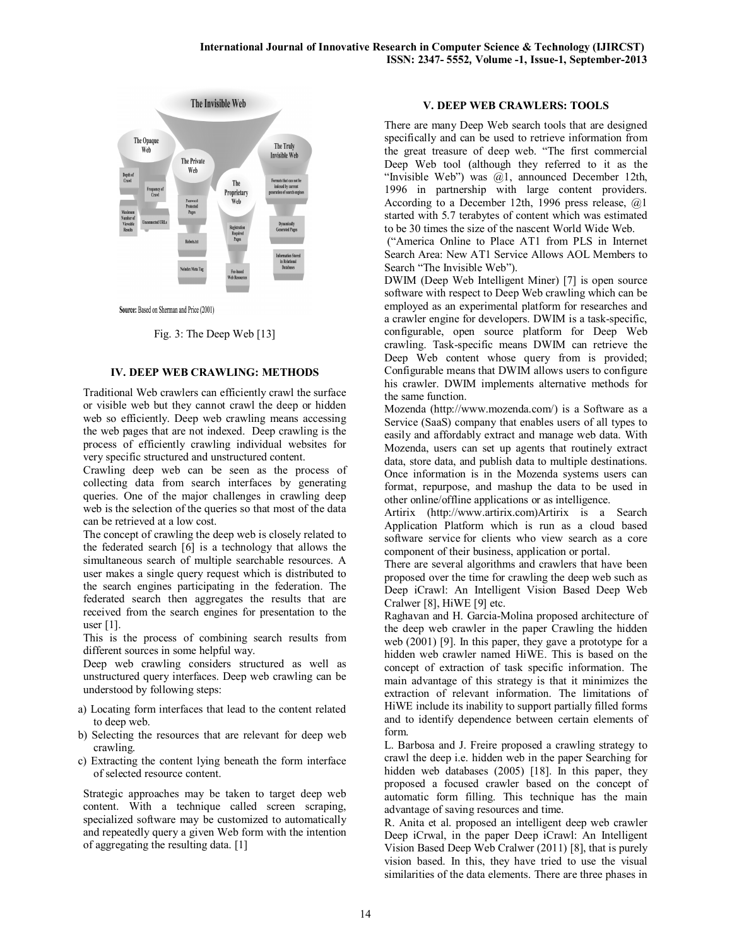

Source: Based on Sherman and Price (2001)

#### Fig. 3: The Deep Web [13]

### **IV. DEEP WEB CRAWLING: METHODS**

Traditional Web crawlers can efficiently crawl the surface or visible web but they cannot crawl the deep or hidden web so efficiently. Deep web crawling means accessing the web pages that are not indexed. Deep crawling is the process of efficiently crawling individual websites for very specific structured and unstructured content.

Crawling deep web can be seen as the process of collecting data from search interfaces by generating queries. One of the major challenges in crawling deep web is the selection of the queries so that most of the data can be retrieved at a low cost.

The concept of crawling the deep web is closely related to the federated search [6] is a technology that allows the simultaneous search of multiple searchable resources. A user makes a single query request which is distributed to the search engines participating in the federation. The federated search then aggregates the results that are received from the search engines for presentation to the user [1].

This is the process of combining search results from different sources in some helpful way.

Deep web crawling considers structured as well as unstructured query interfaces. Deep web crawling can be understood by following steps:

- a) Locating form interfaces that lead to the content related to deep web.
- b) Selecting the resources that are relevant for deep web crawling.
- c) Extracting the content lying beneath the form interface of selected resource content.

Strategic approaches may be taken to target deep web content. With a technique called screen scraping, specialized software may be customized to automatically and repeatedly query a given Web form with the intention of aggregating the resulting data. [1]

# **V. DEEP WEB CRAWLERS: TOOLS**

There are many Deep Web search tools that are designed specifically and can be used to retrieve information from the great treasure of deep web. "The first commercial Deep Web tool (although they referred to it as the "Invisible Web") was @1, announced December 12th, 1996 in partnership with large content providers. According to a December 12th, 1996 press release, @1 started with 5.7 terabytes of content which was estimated to be 30 times the size of the nascent World Wide Web.

("America Online to Place AT1 from PLS in Internet Search Area: New AT1 Service Allows AOL Members to Search "The Invisible Web").

DWIM (Deep Web Intelligent Miner) [7] is open source software with respect to Deep Web crawling which can be employed as an experimental platform for researches and a crawler engine for developers. DWIM is a task-specific, configurable, open source platform for Deep Web crawling. Task-specific means DWIM can retrieve the Deep Web content whose query from is provided; Configurable means that DWIM allows users to configure his crawler. DWIM implements alternative methods for the same function.

Mozenda (http://www.mozenda.com/) is a Software as a Service (SaaS) company that enables users of all types to easily and affordably extract and manage web data. With Mozenda, users can set up agents that routinely extract data, store data, and publish data to multiple destinations. Once information is in the Mozenda systems users can format, repurpose, and mashup the data to be used in other online/offline applications or as intelligence.

Artirix (http://www.artirix.com)Artirix is a Search Application Platform which is run as a cloud based software service for clients who view search as a core component of their business, application or portal.

There are several algorithms and crawlers that have been proposed over the time for crawling the deep web such as Deep iCrawl: An Intelligent Vision Based Deep Web Cralwer [8], HiWE [9] etc.

Raghavan and H. Garcia-Molina proposed architecture of the deep web crawler in the paper Crawling the hidden web (2001) [9]. In this paper, they gave a prototype for a hidden web crawler named HiWE. This is based on the concept of extraction of task specific information. The main advantage of this strategy is that it minimizes the extraction of relevant information. The limitations of HiWE include its inability to support partially filled forms and to identify dependence between certain elements of form.

L. Barbosa and J. Freire proposed a crawling strategy to crawl the deep i.e. hidden web in the paper Searching for hidden web databases (2005) [18]. In this paper, they proposed a focused crawler based on the concept of automatic form filling. This technique has the main advantage of saving resources and time.

R. Anita et al. proposed an intelligent deep web crawler Deep iCrwal, in the paper Deep iCrawl: An Intelligent Vision Based Deep Web Cralwer (2011) [8], that is purely vision based. In this, they have tried to use the visual similarities of the data elements. There are three phases in